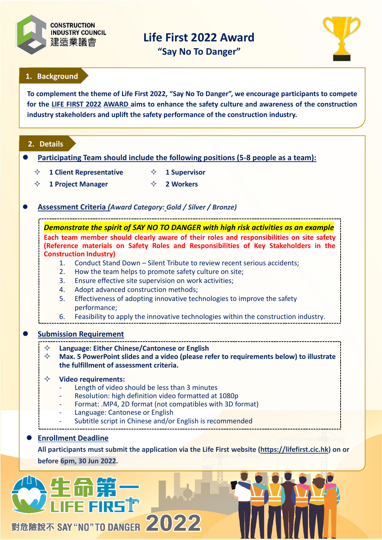

**Life First 2022 Award** 

**"Say No To Danger"**



# **1. Background**

**To complement the theme of Life First 2022, "Say No To Danger", this promotional Campaign aims to**  To complement the theme of Life First 2022, "Say No To Danger", we encourage participants to compete **performance among the construction industry. for the LIFE FIRST 2022 AWARD aims to enhance the safety culture and awareness of the construction industry stakeholders and uplift the safety performance of the construction industry.**

## **2. Details**

- **Participating Team should include the following positions (5-8 people as a team):**
	- **1 Client Representative 1 Supervisor**
	- **1 Project Manager 2 Workers**
- **Assessment Criteria** *(Award Category: Gold / Silver / Bronze)*

*Demonstrate the spirit of SAY NO TO DANGER with high risk activities as an example* **Each team member should clearly aware of their roles and responsibilities on site safety (Reference materials on Safety Roles and Responsibilities of Key Stakeholders in the Construction Industry)**

- 1. Conduct Stand Down Silent Tribute to review recent serious accidents;
- 2. How the team helps to promote safety culture on site;
- 3. Ensure effective site supervision on work activities;
- 4. Adopt advanced construction methods;
- 5. Effectiveness of adopting innovative technologies to improve the safety performance;
- 6. Feasibility to apply the innovative technologies within the construction industry.

## **Submission Requirement**

**Language: Either Chinese/Cantonese or English**

 **Max. 5 PowerPoint slides and a video (please refer to requirements below) to illustrate the fulfillment of assessment criteria.** 

### **Video requirements:**

- Length of video should be less than 3 minutes
- Resolution: high definition video formatted at 1080p
- Format: .MP4, 2D format (not compatibles with 3D format)
- Language: Cantonese or English
- Subtitle script in Chinese and/or English is recommended

## **Enrollment Deadline**

**All participants must submit the application via the Life First website [\(https://lifefirst.cic.hk\)](https://lifefirst.cic.hk/) on or before 6pm, 30 Jun 2022.**

# 對危險說不 SAY "NO" TO DANGER 2022